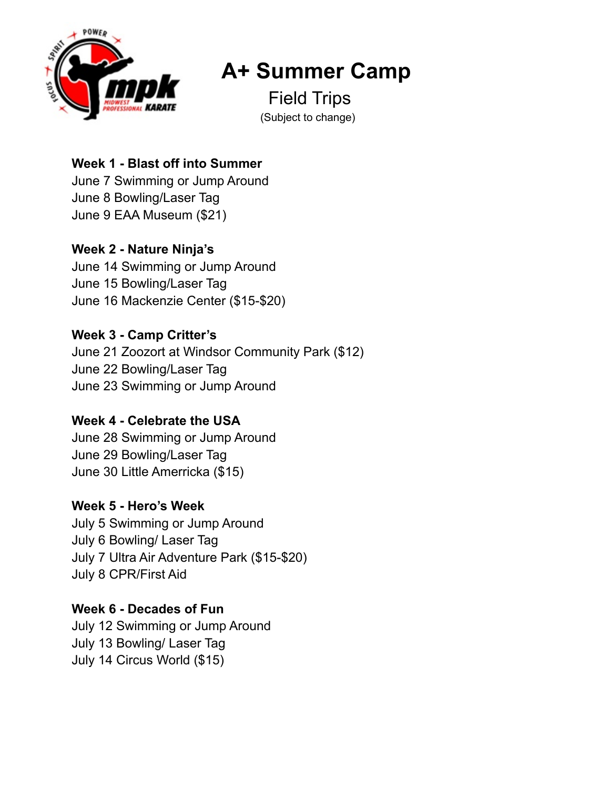

# **A+ Summer Camp**

 Field Trips (Subject to change)

# **Week 1 - Blast off into Summer**

June 7 Swimming or Jump Around June 8 Bowling/Laser Tag June 9 EAA Museum (\$21)

# **Week 2 - Nature Ninja's**

June 14 Swimming or Jump Around June 15 Bowling/Laser Tag June 16 Mackenzie Center (\$15-\$20)

# **Week 3 - Camp Critter's**

June 21 Zoozort at Windsor Community Park (\$12) June 22 Bowling/Laser Tag June 23 Swimming or Jump Around

# **Week 4 - Celebrate the USA**

June 28 Swimming or Jump Around June 29 Bowling/Laser Tag June 30 Little Amerricka (\$15)

# **Week 5 - Hero's Week**

July 5 Swimming or Jump Around July 6 Bowling/ Laser Tag July 7 Ultra Air Adventure Park (\$15-\$20) July 8 CPR/First Aid

## **Week 6 - Decades of Fun**

July 12 Swimming or Jump Around July 13 Bowling/ Laser Tag July 14 Circus World (\$15)